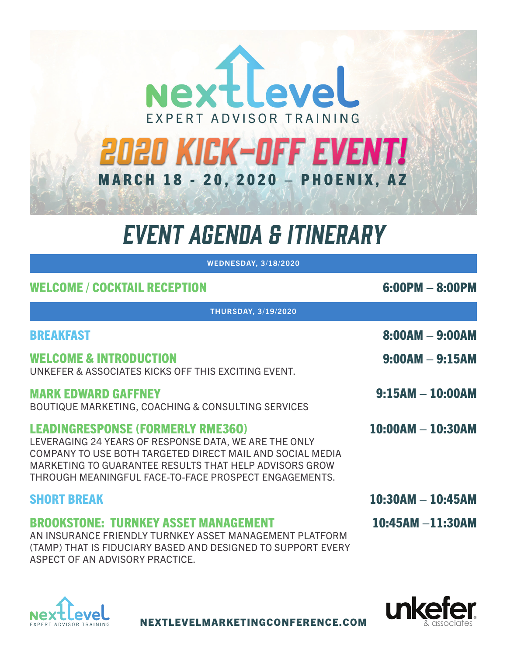

# EVENT AGENDA & ITINERARY

WEDNESDAY, 3/18/2020 WEDNESDAY, 3/18/2020

| <b>WELCOME / COCKTAIL RECEPTION</b>                                                                                                                                                                                                                                               | $6:00PM - 8:00PM$      |  |  |  |
|-----------------------------------------------------------------------------------------------------------------------------------------------------------------------------------------------------------------------------------------------------------------------------------|------------------------|--|--|--|
| <b>THURSDAY, 3/19/2020</b>                                                                                                                                                                                                                                                        |                        |  |  |  |
| <b>BREAKFAST</b>                                                                                                                                                                                                                                                                  | 8:00AM - 9:00AM        |  |  |  |
| <b>WELCOME &amp; INTRODUCTION</b><br>UNKEFER & ASSOCIATES KICKS OFF THIS EXCITING EVENT.                                                                                                                                                                                          | $9:00AM - 9:15AM$      |  |  |  |
| <b>MARK EDWARD GAFFNEY</b><br>BOUTIQUE MARKETING, COACHING & CONSULTING SERVICES                                                                                                                                                                                                  | $9:15AM - 10:00AM$     |  |  |  |
| <b>LEADINGRESPONSE (FORMERLY RME360)</b><br>LEVERAGING 24 YEARS OF RESPONSE DATA, WE ARE THE ONLY<br>COMPANY TO USE BOTH TARGETED DIRECT MAIL AND SOCIAL MEDIA<br>MARKETING TO GUARANTEE RESULTS THAT HELP ADVISORS GROW<br>THROUGH MEANINGFUL FACE-TO-FACE PROSPECT ENGAGEMENTS. | $10:00AM - 10:30AM$    |  |  |  |
| <b>SHORT BREAK</b>                                                                                                                                                                                                                                                                | $10:30AM - 10:45AM$    |  |  |  |
| <b>BROOKSTONE: TURNKEY ASSET MANAGEMENT</b><br>AN INSURANCE FRIENDLY TURNKEY ASSET MANAGEMENT PLATFORM<br>(TAMP) THAT IS FIDUCIARY BASED AND DESIGNED TO SUPPORT EVERY<br>ASPECT OF AN ADVISORY PRACTICE.                                                                         | $10:45$ AM $-11:30$ AM |  |  |  |





NEXTLEVELMARKETINGCONFERENCE.COM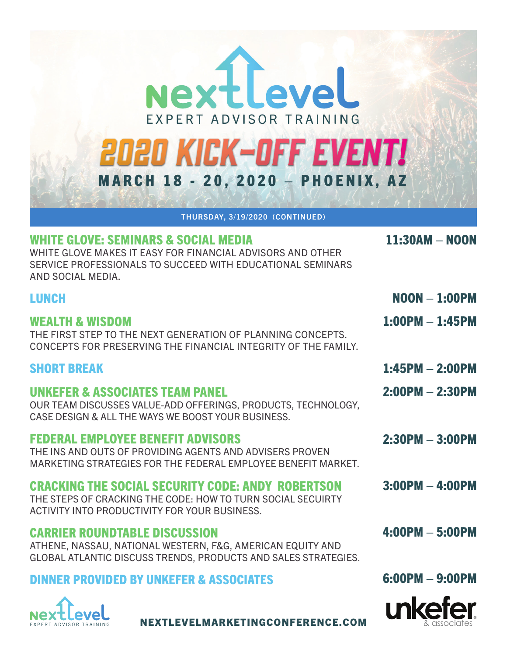| NextLeveL<br>EXPERT ADVISOR TRAINING<br>2020 KICK-OFF EVENT!<br><b>MARCH 18 - 20, 2020 - PHOENIX, AZ</b><br>THURSDAY, 3/19/2020 (CONTINUED)                                           |                    |
|---------------------------------------------------------------------------------------------------------------------------------------------------------------------------------------|--------------------|
| WHITE GLOVE: SEMINARS & SOCIAL MEDIA<br>WHITE GLOVE MAKES IT EASY FOR FINANCIAL ADVISORS AND OTHER<br>SERVICE PROFESSIONALS TO SUCCEED WITH EDUCATIONAL SEMINARS<br>AND SOCIAL MEDIA. | $11:30AM - N00N$   |
| <b>LUNCH</b>                                                                                                                                                                          | $N$ OON $-$ 1:00PM |
| WEALTH & WISDOM<br>THE FIRST STEP TO THE NEXT GENERATION OF PLANNING CONCEPTS.<br>CONCEPTS FOR PRESERVING THE FINANCIAL INTEGRITY OF THE FAMILY.                                      | $1:00PM - 1:45PM$  |
| <b>SHORT BREAK</b>                                                                                                                                                                    | $1:45PM - 2:00PM$  |
| <b>UNKEFER &amp; ASSOCIATES TEAM PANEL</b><br>OUR TEAM DISCUSSES VALUE-ADD OFFERINGS, PRODUCTS, TECHNOLOGY,<br>CASE DESIGN & ALL THE WAYS WE BOOST YOUR BUSINESS.                     | $2:00PM - 2:30PM$  |
| <b>FEDERAL EMPLOYEE BENEFIT ADVISORS</b><br>THE INS AND OUTS OF PROVIDING AGENTS AND ADVISERS PROVEN<br>MARKETING STRATEGIES FOR THE FEDERAL EMPLOYEE BENEFIT MARKET.                 | $2:30PM - 3:00PM$  |
| <b>CRACKING THE SOCIAL SECURITY CODE: ANDY ROBERTSON</b>                                                                                                                              | $3:00PM - 4:00PM$  |

THE STEPS OF CRACKING THE CODE: HOW TO TURN SOCIAL SECUIRTY ACTIVITY INTO PRODUCTIVITY FOR YOUR BUSINESS.

## CARRIER ROUNDTABLE DISCUSSION

ATHENE, NASSAU, NATIONAL WESTERN, F&G, AMERICAN EQUITY AND GLOBAL ATLANTIC DISCUSS TRENDS, PRODUCTS AND SALES STRATEGIES.

# DINNER PROVIDED BY UNKEFER & ASSOCIATES



6:00PM – 9:00PM

4:00PM – 5:00PM



NEXTLEVELMARKETINGCONFERENCE.COM